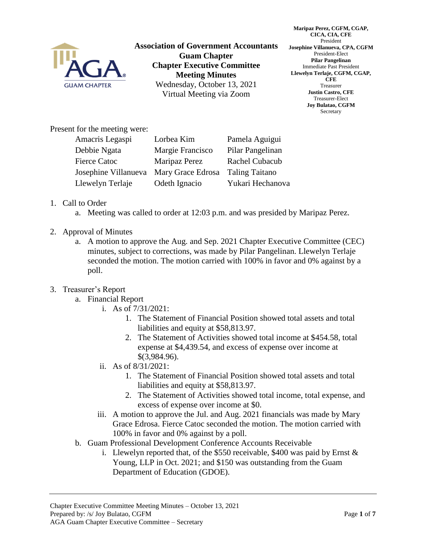

**Association of Government Accountants Guam Chapter Chapter Executive Committee Meeting Minutes** Wednesday, October 13, 2021 Virtual Meeting via Zoom

**Maripaz Perez, CGFM, CGAP, CICA, CIA, CFE** President **Josephine Villanueva, CPA, CGFM** President-Elect **Pilar Pangelinan** Immediate Past President **Llewelyn Terlaje, CGFM, CGAP, CFE** Treasurer **Justin Castro, CFE** Treasurer-Elect **Joy Bulatao, CGFM** Secretary

Present for the meeting were:

| Amacris Legaspi      | Lorbea Kim        | Pamela Aguigui        |
|----------------------|-------------------|-----------------------|
| Debbie Ngata         | Margie Francisco  | Pilar Pangelinan      |
| <b>Fierce Catoc</b>  | Maripaz Perez     | Rachel Cubacub        |
| Josephine Villanueva | Mary Grace Edrosa | <b>Taling Taitano</b> |
| Llewelyn Terlaje     | Odeth Ignacio     | Yukari Hechanova      |

## 1. Call to Order

- a. Meeting was called to order at 12:03 p.m. and was presided by Maripaz Perez.
- 2. Approval of Minutes
	- a. A motion to approve the Aug. and Sep. 2021 Chapter Executive Committee (CEC) minutes, subject to corrections, was made by Pilar Pangelinan. Llewelyn Terlaje seconded the motion. The motion carried with 100% in favor and 0% against by a poll.

## 3. Treasurer's Report

- a. Financial Report
	- i. As of 7/31/2021:
		- 1. The Statement of Financial Position showed total assets and total liabilities and equity at \$58,813.97.
		- 2. The Statement of Activities showed total income at \$454.58, total expense at \$4,439.54, and excess of expense over income at \$(3,984.96).
	- ii. As of 8/31/2021:
		- 1. The Statement of Financial Position showed total assets and total liabilities and equity at \$58,813.97.
		- 2. The Statement of Activities showed total income, total expense, and excess of expense over income at \$0.
	- iii. A motion to approve the Jul. and Aug. 2021 financials was made by Mary Grace Edrosa. Fierce Catoc seconded the motion. The motion carried with 100% in favor and 0% against by a poll.
- b. Guam Professional Development Conference Accounts Receivable
	- i. Llewelyn reported that, of the \$550 receivable, \$400 was paid by Ernst & Young, LLP in Oct. 2021; and \$150 was outstanding from the Guam Department of Education (GDOE).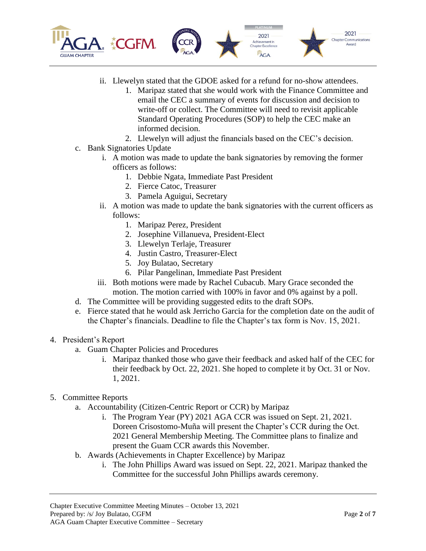

- ii. Llewelyn stated that the GDOE asked for a refund for no-show attendees.
	- 1. Maripaz stated that she would work with the Finance Committee and email the CEC a summary of events for discussion and decision to write-off or collect. The Committee will need to revisit applicable Standard Operating Procedures (SOP) to help the CEC make an informed decision.
	- 2. Llewelyn will adjust the financials based on the CEC's decision.
- c. Bank Signatories Update
	- i. A motion was made to update the bank signatories by removing the former officers as follows:
		- 1. Debbie Ngata, Immediate Past President
		- 2. Fierce Catoc, Treasurer
		- 3. Pamela Aguigui, Secretary
	- ii. A motion was made to update the bank signatories with the current officers as follows:
		- 1. Maripaz Perez, President
		- 2. Josephine Villanueva, President-Elect
		- 3. Llewelyn Terlaje, Treasurer
		- 4. Justin Castro, Treasurer-Elect
		- 5. Joy Bulatao, Secretary
		- 6. Pilar Pangelinan, Immediate Past President
	- iii. Both motions were made by Rachel Cubacub. Mary Grace seconded the motion. The motion carried with 100% in favor and 0% against by a poll.
- d. The Committee will be providing suggested edits to the draft SOPs.
- e. Fierce stated that he would ask Jerricho Garcia for the completion date on the audit of the Chapter's financials. Deadline to file the Chapter's tax form is Nov. 15, 2021.
- 4. President's Report
	- a. Guam Chapter Policies and Procedures
		- i. Maripaz thanked those who gave their feedback and asked half of the CEC for their feedback by Oct. 22, 2021. She hoped to complete it by Oct. 31 or Nov. 1, 2021.

## 5. Committee Reports

- a. Accountability (Citizen-Centric Report or CCR) by Maripaz
	- i. The Program Year (PY) 2021 AGA CCR was issued on Sept. 21, 2021. Doreen Crisostomo-Muña will present the Chapter's CCR during the Oct. 2021 General Membership Meeting. The Committee plans to finalize and present the Guam CCR awards this November.
- b. Awards (Achievements in Chapter Excellence) by Maripaz
	- i. The John Phillips Award was issued on Sept. 22, 2021. Maripaz thanked the Committee for the successful John Phillips awards ceremony.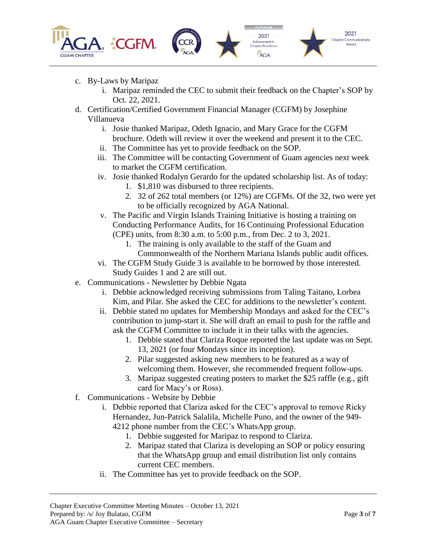





- c. By-Laws by Maripaz
	- i. Maripaz reminded the CEC to submit their feedback on the Chapter's SOP by Oct. 22, 2021.
- d. Certification/Certified Government Financial Manager (CGFM) by Josephine Villanueva
	- i. Josie thanked Maripaz, Odeth Ignacio, and Mary Grace for the CGFM brochure. Odeth will review it over the weekend and present it to the CEC.
	- ii. The Committee has yet to provide feedback on the SOP.
	- iii. The Committee will be contacting Government of Guam agencies next week to market the CGFM certification.
	- iv. Josie thanked Rodalyn Gerardo for the updated scholarship list. As of today:
		- 1. \$1,810 was disbursed to three recipients.
		- 2. 32 of 262 total members (or 12%) are CGFMs. Of the 32, two were yet to be officially recognized by AGA National.
	- v. The Pacific and Virgin Islands Training Initiative is hosting a training on Conducting Performance Audits, for 16 Continuing Professional Education (CPE) units, from 8:30 a.m. to 5:00 p.m., from Dec. 2 to 3, 2021.
		- 1. The training is only available to the staff of the Guam and Commonwealth of the Northern Mariana Islands public audit offices.
	- vi. The CGFM Study Guide 3 is available to be borrowed by those interested. Study Guides 1 and 2 are still out.
- e. Communications Newsletter by Debbie Ngata
	- i. Debbie acknowledged receiving submissions from Taling Taitano, Lorbea Kim, and Pilar. She asked the CEC for additions to the newsletter's content.
	- ii. Debbie stated no updates for Membership Mondays and asked for the CEC's contribution to jump-start it. She will draft an email to push for the raffle and ask the CGFM Committee to include it in their talks with the agencies.
		- 1. Debbie stated that Clariza Roque reported the last update was on Sept. 13, 2021 (or four Mondays since its inception).
		- 2. Pilar suggested asking new members to be featured as a way of welcoming them. However, she recommended frequent follow-ups.
		- 3. Maripaz suggested creating posters to market the \$25 raffle (e.g., gift card for Macy's or Ross).
- f. Communications Website by Debbie
	- i. Debbie reported that Clariza asked for the CEC's approval to remove Ricky Hernandez, Jun-Patrick Salalila, Michelle Puno, and the owner of the 949- 4212 phone number from the CEC's WhatsApp group.
		- 1. Debbie suggested for Maripaz to respond to Clariza.
		- 2. Maripaz stated that Clariza is developing an SOP or policy ensuring that the WhatsApp group and email distribution list only contains current CEC members.
	- ii. The Committee has yet to provide feedback on the SOP.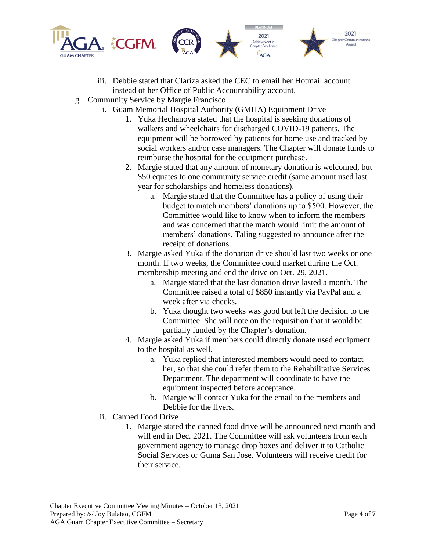

- iii. Debbie stated that Clariza asked the CEC to email her Hotmail account instead of her Office of Public Accountability account.
- g. Community Service by Margie Francisco
	- i. Guam Memorial Hospital Authority (GMHA) Equipment Drive
		- 1. Yuka Hechanova stated that the hospital is seeking donations of walkers and wheelchairs for discharged COVID-19 patients. The equipment will be borrowed by patients for home use and tracked by social workers and/or case managers. The Chapter will donate funds to reimburse the hospital for the equipment purchase.
		- 2. Margie stated that any amount of monetary donation is welcomed, but \$50 equates to one community service credit (same amount used last year for scholarships and homeless donations).
			- a. Margie stated that the Committee has a policy of using their budget to match members' donations up to \$500. However, the Committee would like to know when to inform the members and was concerned that the match would limit the amount of members' donations. Taling suggested to announce after the receipt of donations.
		- 3. Margie asked Yuka if the donation drive should last two weeks or one month. If two weeks, the Committee could market during the Oct. membership meeting and end the drive on Oct. 29, 2021.
			- a. Margie stated that the last donation drive lasted a month. The Committee raised a total of \$850 instantly via PayPal and a week after via checks.
			- b. Yuka thought two weeks was good but left the decision to the Committee. She will note on the requisition that it would be partially funded by the Chapter's donation.
		- 4. Margie asked Yuka if members could directly donate used equipment to the hospital as well.
			- a. Yuka replied that interested members would need to contact her, so that she could refer them to the Rehabilitative Services Department. The department will coordinate to have the equipment inspected before acceptance.
			- b. Margie will contact Yuka for the email to the members and Debbie for the flyers.
		- ii. Canned Food Drive
			- 1. Margie stated the canned food drive will be announced next month and will end in Dec. 2021. The Committee will ask volunteers from each government agency to manage drop boxes and deliver it to Catholic Social Services or Guma San Jose. Volunteers will receive credit for their service.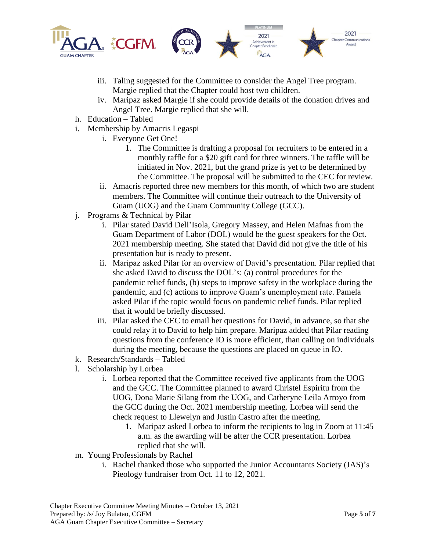

- iii. Taling suggested for the Committee to consider the Angel Tree program. Margie replied that the Chapter could host two children.
- iv. Maripaz asked Margie if she could provide details of the donation drives and Angel Tree. Margie replied that she will.
- h. Education Tabled
- i. Membership by Amacris Legaspi
	- i. Everyone Get One!
		- 1. The Committee is drafting a proposal for recruiters to be entered in a monthly raffle for a \$20 gift card for three winners. The raffle will be initiated in Nov. 2021, but the grand prize is yet to be determined by the Committee. The proposal will be submitted to the CEC for review.
	- ii. Amacris reported three new members for this month, of which two are student members. The Committee will continue their outreach to the University of Guam (UOG) and the Guam Community College (GCC).
- j. Programs & Technical by Pilar
	- i. Pilar stated David Dell'Isola, Gregory Massey, and Helen Mafnas from the Guam Department of Labor (DOL) would be the guest speakers for the Oct. 2021 membership meeting. She stated that David did not give the title of his presentation but is ready to present.
	- ii. Maripaz asked Pilar for an overview of David's presentation. Pilar replied that she asked David to discuss the DOL's: (a) control procedures for the pandemic relief funds, (b) steps to improve safety in the workplace during the pandemic, and (c) actions to improve Guam's unemployment rate. Pamela asked Pilar if the topic would focus on pandemic relief funds. Pilar replied that it would be briefly discussed.
	- iii. Pilar asked the CEC to email her questions for David, in advance, so that she could relay it to David to help him prepare. Maripaz added that Pilar reading questions from the conference IO is more efficient, than calling on individuals during the meeting, because the questions are placed on queue in IO.
- k. Research/Standards Tabled
- l. Scholarship by Lorbea
	- i. Lorbea reported that the Committee received five applicants from the UOG and the GCC. The Committee planned to award Christel Espiritu from the UOG, Dona Marie Silang from the UOG, and Catheryne Leila Arroyo from the GCC during the Oct. 2021 membership meeting. Lorbea will send the check request to Llewelyn and Justin Castro after the meeting.
		- 1. Maripaz asked Lorbea to inform the recipients to log in Zoom at 11:45 a.m. as the awarding will be after the CCR presentation. Lorbea replied that she will.
- m. Young Professionals by Rachel
	- i. Rachel thanked those who supported the Junior Accountants Society (JAS)'s Pieology fundraiser from Oct. 11 to 12, 2021.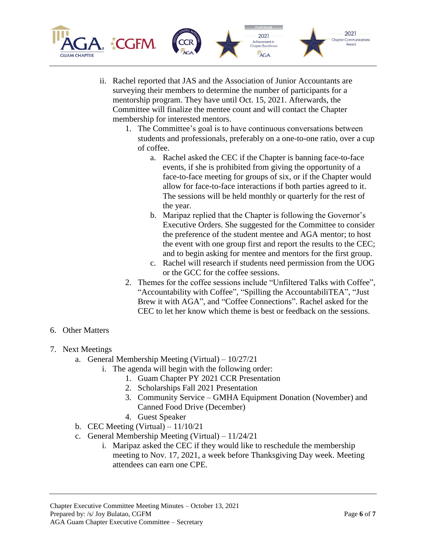

- ii. Rachel reported that JAS and the Association of Junior Accountants are surveying their members to determine the number of participants for a mentorship program. They have until Oct. 15, 2021. Afterwards, the Committee will finalize the mentee count and will contact the Chapter membership for interested mentors.
	- 1. The Committee's goal is to have continuous conversations between students and professionals, preferably on a one-to-one ratio, over a cup of coffee.
		- a. Rachel asked the CEC if the Chapter is banning face-to-face events, if she is prohibited from giving the opportunity of a face-to-face meeting for groups of six, or if the Chapter would allow for face-to-face interactions if both parties agreed to it. The sessions will be held monthly or quarterly for the rest of the year.
		- b. Maripaz replied that the Chapter is following the Governor's Executive Orders. She suggested for the Committee to consider the preference of the student mentee and AGA mentor; to host the event with one group first and report the results to the CEC; and to begin asking for mentee and mentors for the first group.
		- c. Rachel will research if students need permission from the UOG or the GCC for the coffee sessions.
	- 2. Themes for the coffee sessions include "Unfiltered Talks with Coffee", "Accountability with Coffee", "Spilling the AccountabiliTEA", "Just Brew it with AGA", and "Coffee Connections". Rachel asked for the CEC to let her know which theme is best or feedback on the sessions.
- 6. Other Matters
- 7. Next Meetings
	- a. General Membership Meeting (Virtual) 10/27/21
		- i. The agenda will begin with the following order:
			- 1. Guam Chapter PY 2021 CCR Presentation
			- 2. Scholarships Fall 2021 Presentation
			- 3. Community Service GMHA Equipment Donation (November) and Canned Food Drive (December)
			- 4. Guest Speaker
	- b. CEC Meeting (Virtual)  $-11/10/21$
	- c. General Membership Meeting (Virtual) 11/24/21
		- i. Maripaz asked the CEC if they would like to reschedule the membership meeting to Nov. 17, 2021, a week before Thanksgiving Day week. Meeting attendees can earn one CPE.